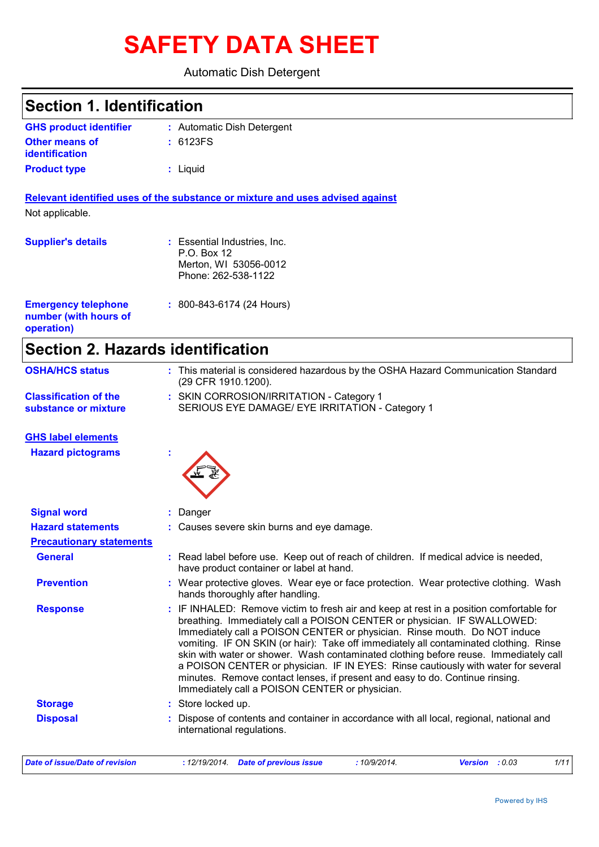# **SAFETY DATA SHEET**

### Automatic Dish Detergent

| <b>Section 1. Identification</b>                                  |                                                                                                          |
|-------------------------------------------------------------------|----------------------------------------------------------------------------------------------------------|
| <b>GHS product identifier</b>                                     | : Automatic Dish Detergent                                                                               |
| Other means of<br><b>identification</b>                           | : 6123FS                                                                                                 |
| <b>Product type</b>                                               | : Liquid                                                                                                 |
|                                                                   | Relevant identified uses of the substance or mixture and uses advised against                            |
| Not applicable.                                                   |                                                                                                          |
| <b>Supplier's details</b>                                         | : Essential Industries, Inc.<br>P.O. Box 12<br>Merton, WI 53056-0012<br>Phone: 262-538-1122              |
| <b>Emergency telephone</b><br>number (with hours of<br>operation) | : 800-843-6174 (24 Hours)                                                                                |
| <b>Section 2. Hazards identification</b>                          |                                                                                                          |
| <b>OSHA/HCS status</b>                                            | : This material is considered hazardous by the OSHA Hazard Communication Standard<br>(29 CFR 1910.1200). |
| <b>Classification of the</b><br>substance or mixture              | : SKIN CORROSION/IRRITATION - Category 1<br>SERIOUS EYE DAMAGE/ EYE IRRITATION - Category 1              |
| <b>GHS label elements</b>                                         |                                                                                                          |
| <b>Hazard pictograms</b>                                          |                                                                                                          |

| <b>Signal word</b>              | : Danger                                                                                                                                                                                                                                                                                                                                                                                                                                                                                                                                                                                                                                                |
|---------------------------------|---------------------------------------------------------------------------------------------------------------------------------------------------------------------------------------------------------------------------------------------------------------------------------------------------------------------------------------------------------------------------------------------------------------------------------------------------------------------------------------------------------------------------------------------------------------------------------------------------------------------------------------------------------|
| <b>Hazard statements</b>        | : Causes severe skin burns and eye damage.                                                                                                                                                                                                                                                                                                                                                                                                                                                                                                                                                                                                              |
| <b>Precautionary statements</b> |                                                                                                                                                                                                                                                                                                                                                                                                                                                                                                                                                                                                                                                         |
| <b>General</b>                  | : Read label before use. Keep out of reach of children. If medical advice is needed,<br>have product container or label at hand.                                                                                                                                                                                                                                                                                                                                                                                                                                                                                                                        |
| <b>Prevention</b>               | : Wear protective gloves. Wear eye or face protection. Wear protective clothing. Wash<br>hands thoroughly after handling.                                                                                                                                                                                                                                                                                                                                                                                                                                                                                                                               |
| <b>Response</b>                 | : IF INHALED: Remove victim to fresh air and keep at rest in a position comfortable for<br>breathing. Immediately call a POISON CENTER or physician. IF SWALLOWED:<br>Immediately call a POISON CENTER or physician. Rinse mouth. Do NOT induce<br>vomiting. IF ON SKIN (or hair): Take off immediately all contaminated clothing. Rinse<br>skin with water or shower. Wash contaminated clothing before reuse. Immediately call<br>a POISON CENTER or physician. IF IN EYES: Rinse cautiously with water for several<br>minutes. Remove contact lenses, if present and easy to do. Continue rinsing.<br>Immediately call a POISON CENTER or physician. |
| <b>Storage</b>                  | : Store locked up.                                                                                                                                                                                                                                                                                                                                                                                                                                                                                                                                                                                                                                      |
| <b>Disposal</b>                 | : Dispose of contents and container in accordance with all local, regional, national and<br>international regulations.                                                                                                                                                                                                                                                                                                                                                                                                                                                                                                                                  |
| Date of issue/Date of revision  | : 12/19/2014.<br><b>Date of previous issue</b><br>:10/9/2014.<br>Version : 0.03<br>1/11                                                                                                                                                                                                                                                                                                                                                                                                                                                                                                                                                                 |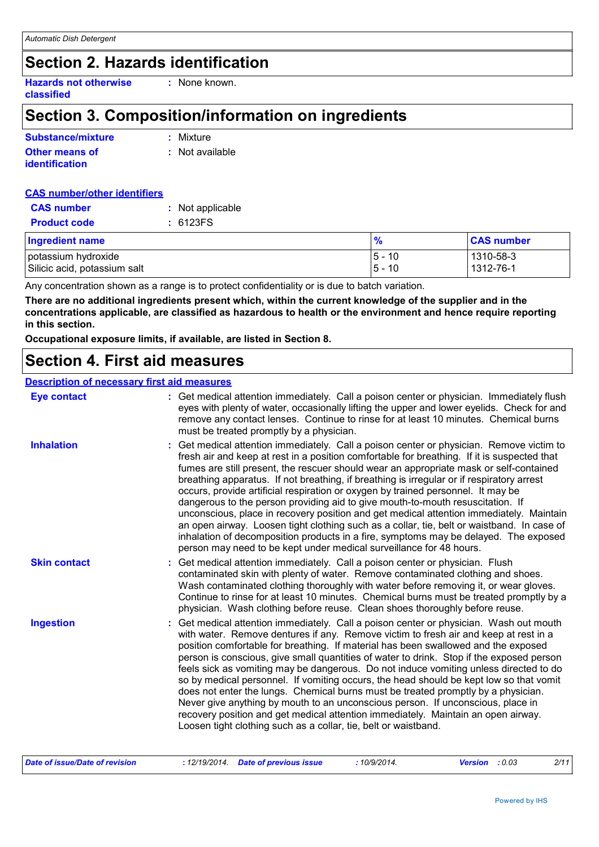### **Section 2. Hazards identification**

**Hazards not otherwise classified**

### **Section 3. Composition/information on ingredients**

**:** None known.

| Substance/mixture     | : Mixture       |
|-----------------------|-----------------|
| <b>Other means of</b> | : Not available |
| <b>identification</b> |                 |

| <b>CAS number/other identifiers</b> |                  |
|-------------------------------------|------------------|
| <b>CAS</b> number                   | : Not applicable |
| <b>Product code</b>                 | : 6123FS         |
| <b>Ingredient name</b>              |                  |

| <b>Ingredient name</b>       | $\frac{9}{6}$             | <b>CAS number</b>        |
|------------------------------|---------------------------|--------------------------|
| potassium hydroxide          | 10<br>l5 -<br>10<br>I 5 – | 1310-58-3<br>  1312-76-1 |
| Silicic acid, potassium salt |                           |                          |

Any concentration shown as a range is to protect confidentiality or is due to batch variation.

**There are no additional ingredients present which, within the current knowledge of the supplier and in the concentrations applicable, are classified as hazardous to health or the environment and hence require reporting in this section.**

**Occupational exposure limits, if available, are listed in Section 8.**

### **Section 4. First aid measures**

#### **Description of necessary first aid measures**

| <b>Eye contact</b>  | : Get medical attention immediately. Call a poison center or physician. Immediately flush<br>eyes with plenty of water, occasionally lifting the upper and lower eyelids. Check for and<br>remove any contact lenses. Continue to rinse for at least 10 minutes. Chemical burns<br>must be treated promptly by a physician.                                                                                                                                                                                                                                                                                                                                                                                                                                                                                                                                                                                  |
|---------------------|--------------------------------------------------------------------------------------------------------------------------------------------------------------------------------------------------------------------------------------------------------------------------------------------------------------------------------------------------------------------------------------------------------------------------------------------------------------------------------------------------------------------------------------------------------------------------------------------------------------------------------------------------------------------------------------------------------------------------------------------------------------------------------------------------------------------------------------------------------------------------------------------------------------|
| <b>Inhalation</b>   | : Get medical attention immediately. Call a poison center or physician. Remove victim to<br>fresh air and keep at rest in a position comfortable for breathing. If it is suspected that<br>fumes are still present, the rescuer should wear an appropriate mask or self-contained<br>breathing apparatus. If not breathing, if breathing is irregular or if respiratory arrest<br>occurs, provide artificial respiration or oxygen by trained personnel. It may be<br>dangerous to the person providing aid to give mouth-to-mouth resuscitation. If<br>unconscious, place in recovery position and get medical attention immediately. Maintain<br>an open airway. Loosen tight clothing such as a collar, tie, belt or waistband. In case of<br>inhalation of decomposition products in a fire, symptoms may be delayed. The exposed<br>person may need to be kept under medical surveillance for 48 hours. |
| <b>Skin contact</b> | : Get medical attention immediately. Call a poison center or physician. Flush<br>contaminated skin with plenty of water. Remove contaminated clothing and shoes.<br>Wash contaminated clothing thoroughly with water before removing it, or wear gloves.<br>Continue to rinse for at least 10 minutes. Chemical burns must be treated promptly by a<br>physician. Wash clothing before reuse. Clean shoes thoroughly before reuse.                                                                                                                                                                                                                                                                                                                                                                                                                                                                           |
| <b>Ingestion</b>    | : Get medical attention immediately. Call a poison center or physician. Wash out mouth<br>with water. Remove dentures if any. Remove victim to fresh air and keep at rest in a<br>position comfortable for breathing. If material has been swallowed and the exposed<br>person is conscious, give small quantities of water to drink. Stop if the exposed person<br>feels sick as vomiting may be dangerous. Do not induce vomiting unless directed to do<br>so by medical personnel. If vomiting occurs, the head should be kept low so that vomit<br>does not enter the lungs. Chemical burns must be treated promptly by a physician.<br>Never give anything by mouth to an unconscious person. If unconscious, place in<br>recovery position and get medical attention immediately. Maintain an open airway.<br>Loosen tight clothing such as a collar, tie, belt or waistband.                          |

| Date of issue/Date of revision | : 12/19/2014 Date of previous issue |  | 10/9/2014.<br><b>Version</b> : 0.03 |  | 2/11 |
|--------------------------------|-------------------------------------|--|-------------------------------------|--|------|
|--------------------------------|-------------------------------------|--|-------------------------------------|--|------|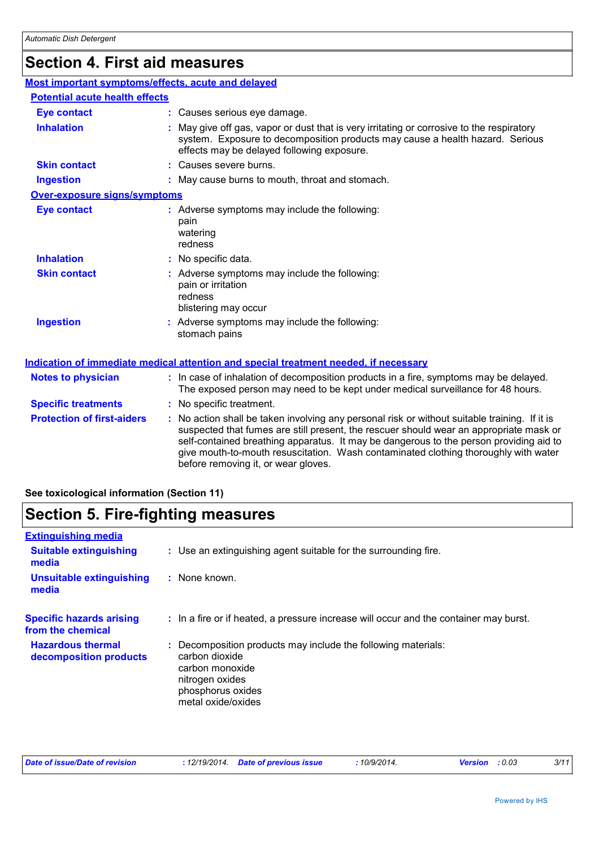# **Section 4. First aid measures**

| Most important symptoms/effects, acute and delayed |                                                                                                                                                                                                                                                                                                                                                                                                                 |
|----------------------------------------------------|-----------------------------------------------------------------------------------------------------------------------------------------------------------------------------------------------------------------------------------------------------------------------------------------------------------------------------------------------------------------------------------------------------------------|
| <b>Potential acute health effects</b>              |                                                                                                                                                                                                                                                                                                                                                                                                                 |
| <b>Eye contact</b>                                 | : Causes serious eye damage.                                                                                                                                                                                                                                                                                                                                                                                    |
| <b>Inhalation</b>                                  | : May give off gas, vapor or dust that is very irritating or corrosive to the respiratory<br>system. Exposure to decomposition products may cause a health hazard. Serious<br>effects may be delayed following exposure.                                                                                                                                                                                        |
| <b>Skin contact</b>                                | : Causes severe burns.                                                                                                                                                                                                                                                                                                                                                                                          |
| <b>Ingestion</b>                                   | : May cause burns to mouth, throat and stomach.                                                                                                                                                                                                                                                                                                                                                                 |
| <b>Over-exposure signs/symptoms</b>                |                                                                                                                                                                                                                                                                                                                                                                                                                 |
| <b>Eye contact</b>                                 | : Adverse symptoms may include the following:<br>pain<br>watering<br>redness                                                                                                                                                                                                                                                                                                                                    |
| <b>Inhalation</b>                                  | : No specific data.                                                                                                                                                                                                                                                                                                                                                                                             |
| <b>Skin contact</b>                                | : Adverse symptoms may include the following:<br>pain or irritation<br>redness<br>blistering may occur                                                                                                                                                                                                                                                                                                          |
| <b>Ingestion</b>                                   | : Adverse symptoms may include the following:<br>stomach pains                                                                                                                                                                                                                                                                                                                                                  |
|                                                    | <u>Indication of immediate medical attention and special treatment needed, if necessary</u>                                                                                                                                                                                                                                                                                                                     |
| <b>Notes to physician</b>                          | : In case of inhalation of decomposition products in a fire, symptoms may be delayed.<br>The exposed person may need to be kept under medical surveillance for 48 hours.                                                                                                                                                                                                                                        |
| <b>Specific treatments</b>                         | : No specific treatment.                                                                                                                                                                                                                                                                                                                                                                                        |
| <b>Protection of first-aiders</b>                  | : No action shall be taken involving any personal risk or without suitable training. If it is<br>suspected that fumes are still present, the rescuer should wear an appropriate mask or<br>self-contained breathing apparatus. It may be dangerous to the person providing aid to<br>give mouth-to-mouth resuscitation. Wash contaminated clothing thoroughly with water<br>before removing it, or wear gloves. |

### **See toxicological information (Section 11)**

### **Section 5. Fire-fighting measures**

| <b>Extinguishing media</b>                           |                                                                                                                                                                |
|------------------------------------------------------|----------------------------------------------------------------------------------------------------------------------------------------------------------------|
| <b>Suitable extinguishing</b><br>media               | : Use an extinguishing agent suitable for the surrounding fire.                                                                                                |
| Unsuitable extinguishing<br>media                    | $:$ None known.                                                                                                                                                |
| <b>Specific hazards arising</b><br>from the chemical | : In a fire or if heated, a pressure increase will occur and the container may burst.                                                                          |
| <b>Hazardous thermal</b><br>decomposition products   | Decomposition products may include the following materials:<br>carbon dioxide<br>carbon monoxide<br>nitrogen oxides<br>phosphorus oxides<br>metal oxide/oxides |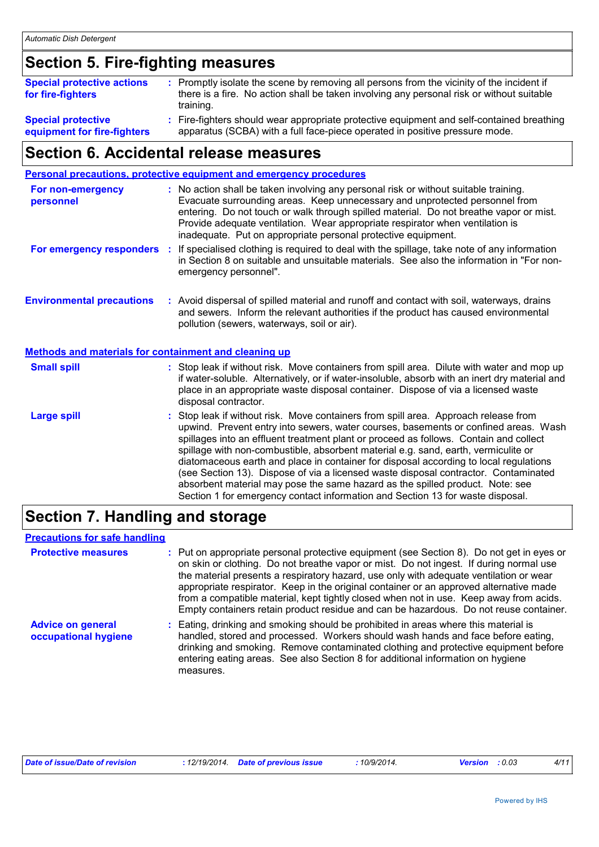# **Section 5. Fire-fighting measures**

| <b>Special protective actions</b><br>for fire-fighters | : Promptly isolate the scene by removing all persons from the vicinity of the incident if<br>there is a fire. No action shall be taken involving any personal risk or without suitable |  |
|--------------------------------------------------------|----------------------------------------------------------------------------------------------------------------------------------------------------------------------------------------|--|
|                                                        | training.                                                                                                                                                                              |  |
| <b>Special protective</b>                              | : Fire-fighters should wear appropriate protective equipment and self-contained breathing                                                                                              |  |

### **equipment for fire-fighters**

apparatus (SCBA) with a full face-piece operated in positive pressure mode. **:**

### **Section 6. Accidental release measures**

|                                                       | Personal precautions, protective equipment and emergency procedures                                                                                                                                                                                                                                                                                                                                                                                                                                                                                                                                                                                                                                          |
|-------------------------------------------------------|--------------------------------------------------------------------------------------------------------------------------------------------------------------------------------------------------------------------------------------------------------------------------------------------------------------------------------------------------------------------------------------------------------------------------------------------------------------------------------------------------------------------------------------------------------------------------------------------------------------------------------------------------------------------------------------------------------------|
| For non-emergency<br>personnel                        | : No action shall be taken involving any personal risk or without suitable training.<br>Evacuate surrounding areas. Keep unnecessary and unprotected personnel from<br>entering. Do not touch or walk through spilled material. Do not breathe vapor or mist.<br>Provide adequate ventilation. Wear appropriate respirator when ventilation is<br>inadequate. Put on appropriate personal protective equipment.                                                                                                                                                                                                                                                                                              |
| For emergency responders                              | : If specialised clothing is required to deal with the spillage, take note of any information<br>in Section 8 on suitable and unsuitable materials. See also the information in "For non-<br>emergency personnel".                                                                                                                                                                                                                                                                                                                                                                                                                                                                                           |
| <b>Environmental precautions</b>                      | : Avoid dispersal of spilled material and runoff and contact with soil, waterways, drains<br>and sewers. Inform the relevant authorities if the product has caused environmental<br>pollution (sewers, waterways, soil or air).                                                                                                                                                                                                                                                                                                                                                                                                                                                                              |
| Methods and materials for containment and cleaning up |                                                                                                                                                                                                                                                                                                                                                                                                                                                                                                                                                                                                                                                                                                              |
| <b>Small spill</b>                                    | : Stop leak if without risk. Move containers from spill area. Dilute with water and mop up<br>if water-soluble. Alternatively, or if water-insoluble, absorb with an inert dry material and<br>place in an appropriate waste disposal container. Dispose of via a licensed waste<br>disposal contractor.                                                                                                                                                                                                                                                                                                                                                                                                     |
| <b>Large spill</b>                                    | : Stop leak if without risk. Move containers from spill area. Approach release from<br>upwind. Prevent entry into sewers, water courses, basements or confined areas. Wash<br>spillages into an effluent treatment plant or proceed as follows. Contain and collect<br>spillage with non-combustible, absorbent material e.g. sand, earth, vermiculite or<br>diatomaceous earth and place in container for disposal according to local regulations<br>(see Section 13). Dispose of via a licensed waste disposal contractor. Contaminated<br>absorbent material may pose the same hazard as the spilled product. Note: see<br>Section 1 for emergency contact information and Section 13 for waste disposal. |

### **Section 7. Handling and storage**

#### **Precautions for safe handling**

| <b>Protective measures</b>                       | : Put on appropriate personal protective equipment (see Section 8). Do not get in eyes or<br>on skin or clothing. Do not breathe vapor or mist. Do not ingest. If during normal use<br>the material presents a respiratory hazard, use only with adequate ventilation or wear<br>appropriate respirator. Keep in the original container or an approved alternative made<br>from a compatible material, kept tightly closed when not in use. Keep away from acids.<br>Empty containers retain product residue and can be hazardous. Do not reuse container. |
|--------------------------------------------------|------------------------------------------------------------------------------------------------------------------------------------------------------------------------------------------------------------------------------------------------------------------------------------------------------------------------------------------------------------------------------------------------------------------------------------------------------------------------------------------------------------------------------------------------------------|
| <b>Advice on general</b><br>occupational hygiene | : Eating, drinking and smoking should be prohibited in areas where this material is<br>handled, stored and processed. Workers should wash hands and face before eating,<br>drinking and smoking. Remove contaminated clothing and protective equipment before<br>entering eating areas. See also Section 8 for additional information on hygiene<br>measures.                                                                                                                                                                                              |

| Date of issue/Date of revision |  | : 12/19/2014  Date of previous issue | 10/9/2014. | <b>Version</b> : 0.03 | 4/11 |
|--------------------------------|--|--------------------------------------|------------|-----------------------|------|
|--------------------------------|--|--------------------------------------|------------|-----------------------|------|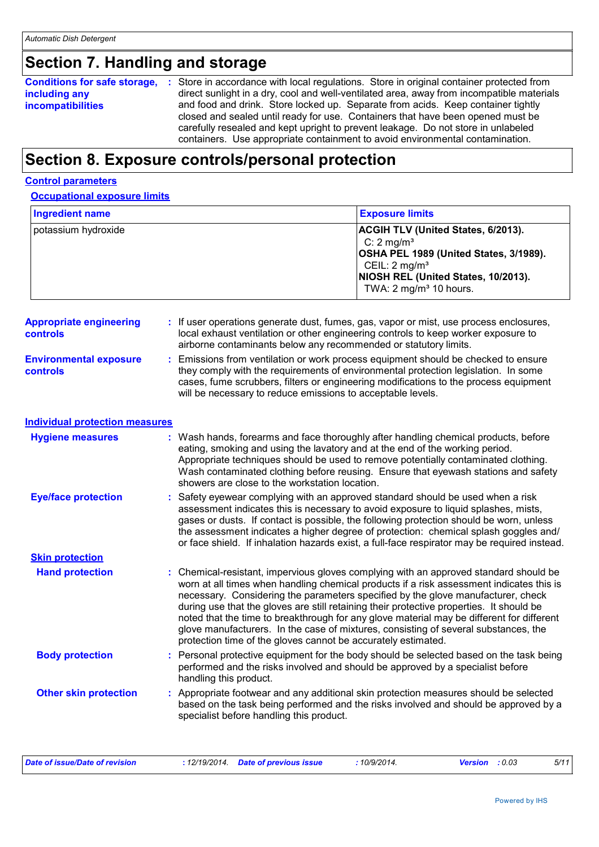# **Section 7. Handling and storage**

| <b>Conditions for safe storage,</b> | Store in accordance with local regulations. Store in original container protected from    |  |  |  |
|-------------------------------------|-------------------------------------------------------------------------------------------|--|--|--|
| including any                       | direct sunlight in a dry, cool and well-ventilated area, away from incompatible materials |  |  |  |
| <b>incompatibilities</b>            | and food and drink. Store locked up. Separate from acids. Keep container tightly          |  |  |  |
|                                     | closed and sealed until ready for use. Containers that have been opened must be           |  |  |  |
|                                     | carefully resealed and kept upright to prevent leakage. Do not store in unlabeled         |  |  |  |
|                                     | containers. Use appropriate containment to avoid environmental contamination.             |  |  |  |

# **Section 8. Exposure controls/personal protection**

#### **Control parameters**

| <b>Occupational exposure limits</b> |
|-------------------------------------|
|-------------------------------------|

| <b>Ingredient name</b>                            |                                                               | <b>Exposure limits</b>                                                                                                                                                                                                                                                                                                                                                                                                                                                                                                                                |  |  |
|---------------------------------------------------|---------------------------------------------------------------|-------------------------------------------------------------------------------------------------------------------------------------------------------------------------------------------------------------------------------------------------------------------------------------------------------------------------------------------------------------------------------------------------------------------------------------------------------------------------------------------------------------------------------------------------------|--|--|
| potassium hydroxide                               |                                                               | ACGIH TLV (United States, 6/2013).<br>C: $2 \text{ mg/m}^3$<br>OSHA PEL 1989 (United States, 3/1989).<br>CEIL: 2 mg/m <sup>3</sup><br>NIOSH REL (United States, 10/2013).<br>TWA: 2 mg/m <sup>3</sup> 10 hours.                                                                                                                                                                                                                                                                                                                                       |  |  |
| <b>Appropriate engineering</b><br><b>controls</b> |                                                               | : If user operations generate dust, fumes, gas, vapor or mist, use process enclosures,<br>local exhaust ventilation or other engineering controls to keep worker exposure to<br>airborne contaminants below any recommended or statutory limits.                                                                                                                                                                                                                                                                                                      |  |  |
| <b>Environmental exposure</b><br>controls         | will be necessary to reduce emissions to acceptable levels.   | Emissions from ventilation or work process equipment should be checked to ensure<br>they comply with the requirements of environmental protection legislation. In some<br>cases, fume scrubbers, filters or engineering modifications to the process equipment                                                                                                                                                                                                                                                                                        |  |  |
| <b>Individual protection measures</b>             |                                                               |                                                                                                                                                                                                                                                                                                                                                                                                                                                                                                                                                       |  |  |
| <b>Hygiene measures</b>                           | showers are close to the workstation location.                | : Wash hands, forearms and face thoroughly after handling chemical products, before<br>eating, smoking and using the lavatory and at the end of the working period.<br>Appropriate techniques should be used to remove potentially contaminated clothing.<br>Wash contaminated clothing before reusing. Ensure that eyewash stations and safety                                                                                                                                                                                                       |  |  |
| <b>Eye/face protection</b>                        |                                                               | Safety eyewear complying with an approved standard should be used when a risk<br>assessment indicates this is necessary to avoid exposure to liquid splashes, mists,<br>gases or dusts. If contact is possible, the following protection should be worn, unless<br>the assessment indicates a higher degree of protection: chemical splash goggles and/<br>or face shield. If inhalation hazards exist, a full-face respirator may be required instead.                                                                                               |  |  |
| <b>Skin protection</b>                            |                                                               |                                                                                                                                                                                                                                                                                                                                                                                                                                                                                                                                                       |  |  |
| <b>Hand protection</b>                            | protection time of the gloves cannot be accurately estimated. | : Chemical-resistant, impervious gloves complying with an approved standard should be<br>worn at all times when handling chemical products if a risk assessment indicates this is<br>necessary. Considering the parameters specified by the glove manufacturer, check<br>during use that the gloves are still retaining their protective properties. It should be<br>noted that the time to breakthrough for any glove material may be different for different<br>glove manufacturers. In the case of mixtures, consisting of several substances, the |  |  |
| <b>Body protection</b>                            | handling this product.                                        | : Personal protective equipment for the body should be selected based on the task being<br>performed and the risks involved and should be approved by a specialist before                                                                                                                                                                                                                                                                                                                                                                             |  |  |
| <b>Other skin protection</b>                      | specialist before handling this product.                      | : Appropriate footwear and any additional skin protection measures should be selected<br>based on the task being performed and the risks involved and should be approved by a                                                                                                                                                                                                                                                                                                                                                                         |  |  |

| Date of issue/Date of revision | : 12/19/2014 Date of previous issue | 10/9/2014. | <b>Version</b> : 0.03 | 5/11 |
|--------------------------------|-------------------------------------|------------|-----------------------|------|
|--------------------------------|-------------------------------------|------------|-----------------------|------|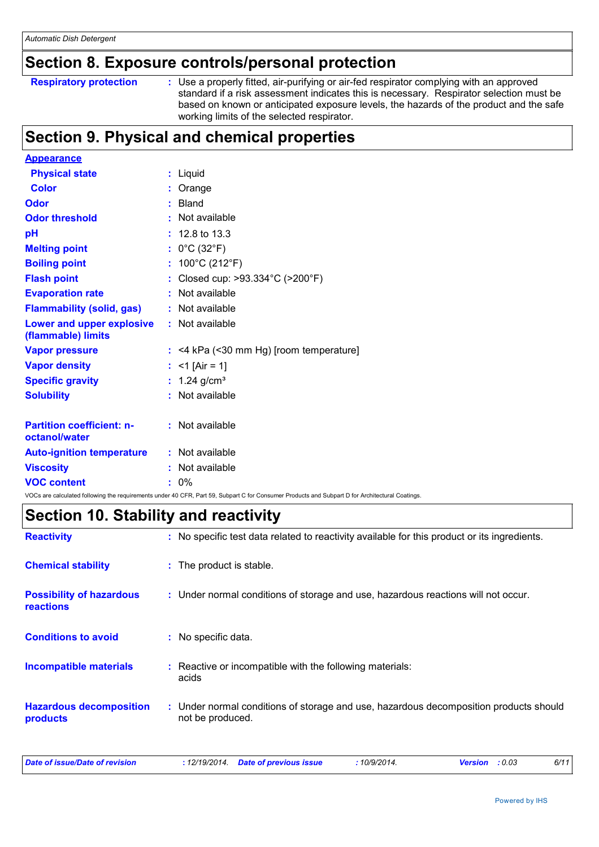### **Section 8. Exposure controls/personal protection**

| <b>Respiratory protection</b> |
|-------------------------------|
|                               |

**Respiratory protection** : Use a properly fitted, air-purifying or air-fed respirator complying with an approved standard if a risk assessment indicates this is necessary. Respirator selection must be based on known or anticipated exposure levels, the hazards of the product and the safe working limits of the selected respirator.

### **Section 9. Physical and chemical properties**

| <b>Appearance</b>                                 |                                                                                                                                                 |
|---------------------------------------------------|-------------------------------------------------------------------------------------------------------------------------------------------------|
| <b>Physical state</b>                             | : Liquid                                                                                                                                        |
| <b>Color</b>                                      | Orange                                                                                                                                          |
| Odor                                              | Bland<br>41                                                                                                                                     |
| <b>Odor threshold</b>                             | Not available<br>÷.                                                                                                                             |
| pH                                                | $: 12.8 \text{ to } 13.3$                                                                                                                       |
| <b>Melting point</b>                              | : $0^{\circ}$ C (32 $^{\circ}$ F)                                                                                                               |
| <b>Boiling point</b>                              | : $100^{\circ}$ C (212 $^{\circ}$ F)                                                                                                            |
| <b>Flash point</b>                                | Closed cup: >93.334°C (>200°F)<br>t.                                                                                                            |
| <b>Evaporation rate</b>                           | Not available<br>÷.                                                                                                                             |
| <b>Flammability (solid, gas)</b>                  | : Not available                                                                                                                                 |
| Lower and upper explosive<br>(flammable) limits   | : Not available                                                                                                                                 |
| <b>Vapor pressure</b>                             | $:$ <4 kPa (<30 mm Hg) [room temperature]                                                                                                       |
| <b>Vapor density</b>                              | : <1 [Air = 1]                                                                                                                                  |
| <b>Specific gravity</b>                           | : $1.24$ g/cm <sup>3</sup>                                                                                                                      |
| <b>Solubility</b>                                 | : Not available                                                                                                                                 |
| <b>Partition coefficient: n-</b><br>octanol/water | : Not available                                                                                                                                 |
| <b>Auto-ignition temperature</b>                  | : Not available                                                                                                                                 |
| <b>Viscosity</b>                                  | : Not available                                                                                                                                 |
| <b>VOC content</b>                                | $0\%$<br>ŧ.                                                                                                                                     |
|                                                   | VOCs are calculated following the requirements under 40 CFR, Part 59, Subpart C for Consumer Products and Subpart D for Architectural Coatings. |

### **Section 10. Stability and reactivity**

| <b>Reactivity</b>                                   | : No specific test data related to reactivity available for this product or its ingredients.              |  |
|-----------------------------------------------------|-----------------------------------------------------------------------------------------------------------|--|
| <b>Chemical stability</b>                           | : The product is stable.                                                                                  |  |
| <b>Possibility of hazardous</b><br><b>reactions</b> | : Under normal conditions of storage and use, hazardous reactions will not occur.                         |  |
| <b>Conditions to avoid</b>                          | : No specific data.                                                                                       |  |
| <b>Incompatible materials</b>                       | Reactive or incompatible with the following materials:<br>acids                                           |  |
| <b>Hazardous decomposition</b><br>products          | : Under normal conditions of storage and use, hazardous decomposition products should<br>not be produced. |  |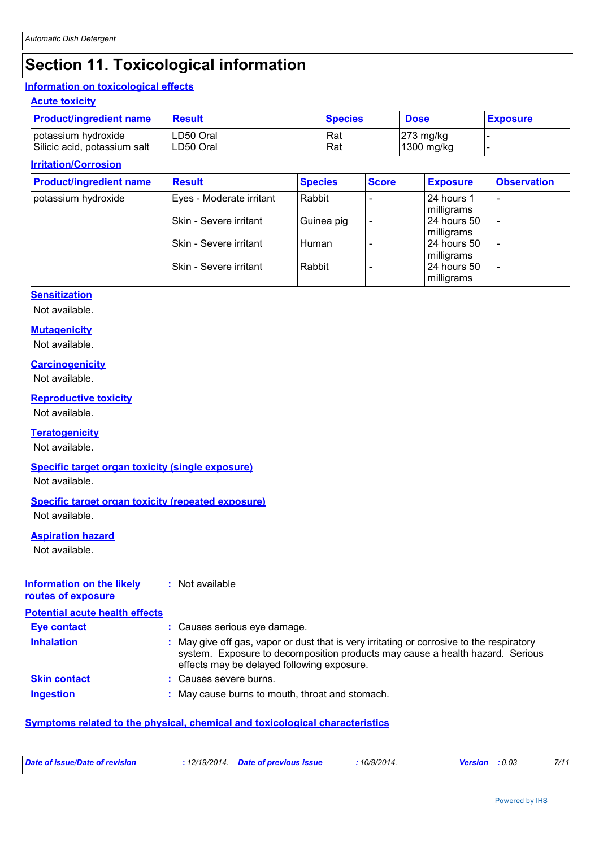### **Section 11. Toxicological information**

#### **Information on toxicological effects**

#### **Acute toxicity**

| <b>Product/ingredient name</b> | <b>Result</b> | <b>Species</b> | <b>Dose</b>           | <b>Exposure</b> |
|--------------------------------|---------------|----------------|-----------------------|-----------------|
| potassium hydroxide            | LD50 Oral     | Rat            | $ 273 \text{ mg/kg} $ |                 |
| Silicic acid, potassium salt   | ILD50 Oral    | Rat            | 1300 mg/kg            |                 |

#### **Irritation/Corrosion**

| <b>Product/ingredient name</b> | <b>Result</b>                  | <b>Species</b> | <b>Score</b> | <b>Exposure</b> | <b>Observation</b>       |
|--------------------------------|--------------------------------|----------------|--------------|-----------------|--------------------------|
| potassium hydroxide            | Eyes - Moderate irritant       | Rabbit         |              | 24 hours 1      | $\overline{\phantom{a}}$ |
|                                |                                |                |              | milligrams      |                          |
|                                | ISkin - Severe irritant        | Guinea pig     |              | 24 hours 50     | $\overline{\phantom{a}}$ |
|                                |                                |                |              | milligrams      |                          |
|                                | <b>ISkin - Severe irritant</b> | Human          |              | 24 hours 50     | $\overline{\phantom{a}}$ |
|                                |                                |                |              | milligrams      |                          |
|                                | <b>ISkin - Severe irritant</b> | Rabbit         |              | 24 hours 50     | $\overline{\phantom{a}}$ |
|                                |                                |                |              | milligrams      |                          |

#### **Sensitization**

Not available.

#### **Mutagenicity**

Not available.

#### **Carcinogenicity**

Not available.

#### **Reproductive toxicity**

Not available.

#### **Teratogenicity**

Not available.

#### **Specific target organ toxicity (single exposure)**

Not available.

#### **Specific target organ toxicity (repeated exposure)**

Not available.

#### **Aspiration hazard**

Not available.

#### **Information on the likely routes of exposure :** Not available

**Potential acute health effects**

| <b>Eye contact</b>  | : Causes serious eye damage.                                                                                                                                                                                             |
|---------------------|--------------------------------------------------------------------------------------------------------------------------------------------------------------------------------------------------------------------------|
| <b>Inhalation</b>   | : May give off gas, vapor or dust that is very irritating or corrosive to the respiratory<br>system. Exposure to decomposition products may cause a health hazard. Serious<br>effects may be delayed following exposure. |
| <b>Skin contact</b> | : Causes severe burns.                                                                                                                                                                                                   |
| <b>Ingestion</b>    | : May cause burns to mouth, throat and stomach.                                                                                                                                                                          |

#### **Symptoms related to the physical, chemical and toxicological characteristics**

| Date of issue/Date of revision | : 12/19/2014 Date of previous issue | 10/9/2014. | <b>Version</b> : 0.03 | 7/11 |
|--------------------------------|-------------------------------------|------------|-----------------------|------|
|                                |                                     |            |                       |      |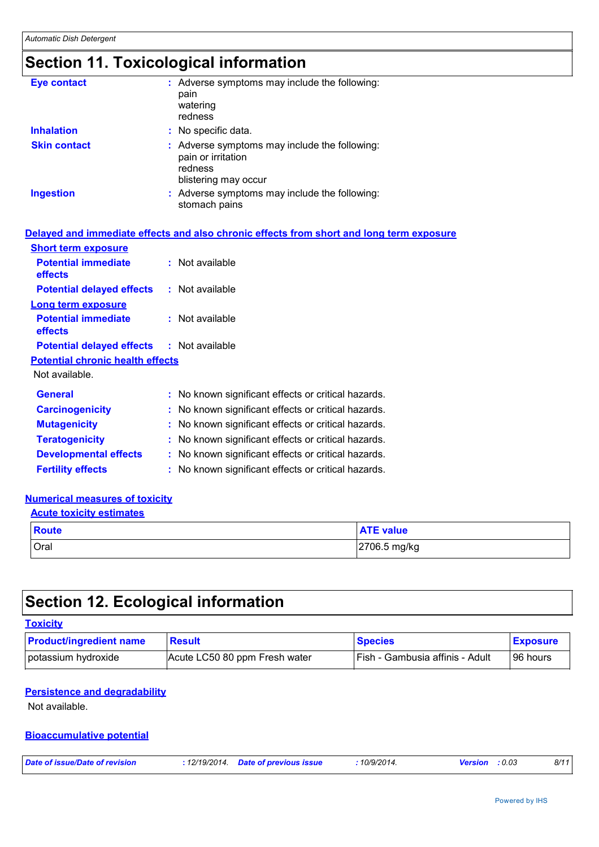# **Section 11. Toxicological information**

| <b>Eye contact</b>  | : Adverse symptoms may include the following:<br>pain<br>watering<br>redness                           |
|---------------------|--------------------------------------------------------------------------------------------------------|
| <b>Inhalation</b>   | : No specific data.                                                                                    |
| <b>Skin contact</b> | : Adverse symptoms may include the following:<br>pain or irritation<br>redness<br>blistering may occur |
| <b>Ingestion</b>    | : Adverse symptoms may include the following:<br>stomach pains                                         |

|                                                  | Delayed and immediate effects and also chronic effects from short and long term exposure |
|--------------------------------------------------|------------------------------------------------------------------------------------------|
| <b>Short term exposure</b>                       |                                                                                          |
| <b>Potential immediate</b><br>effects            | $:$ Not available                                                                        |
| <b>Potential delayed effects : Not available</b> |                                                                                          |
| Long term exposure                               |                                                                                          |
| <b>Potential immediate</b><br>effects            | $:$ Not available                                                                        |
| <b>Potential delayed effects : Not available</b> |                                                                                          |
| <b>Potential chronic health effects</b>          |                                                                                          |
| Not available.                                   |                                                                                          |
| <b>General</b>                                   | : No known significant effects or critical hazards.                                      |
| <b>Carcinogenicity</b>                           | : No known significant effects or critical hazards.                                      |
| <b>Mutagenicity</b>                              | : No known significant effects or critical hazards.                                      |
| <b>Teratogenicity</b>                            | : No known significant effects or critical hazards.                                      |
| <b>Developmental effects</b>                     | : No known significant effects or critical hazards.                                      |
| <b>Fertility effects</b>                         | : No known significant effects or critical hazards.                                      |

#### **Numerical measures of toxicity**

| <b>Acute toxicity estimates</b> |                  |
|---------------------------------|------------------|
| $\blacksquare$ Route            | <b>ATE</b> value |
| Oral                            | 2706.5 mg/kg     |

# **Section 12. Ecological information**

| <b>Toxicity</b>                |        |
|--------------------------------|--------|
| <b>Product/ingredient name</b> | Result |

| <b>Product/ingredient name</b> | <b>Result</b>                 | <b>Species</b>                  | <b>Exposure</b> |
|--------------------------------|-------------------------------|---------------------------------|-----------------|
| potassium hydroxide            | Acute LC50 80 ppm Fresh water | Fish - Gambusia affinis - Adult | 96 hours        |

#### **Persistence and degradability**

Not available.

#### **Bioaccumulative potential**

| Date of issue/Date of revision | : 12/19/2014 Date of previous issue | 10/9/2014. | <b>Version</b> : 0.03 | 8/11 |
|--------------------------------|-------------------------------------|------------|-----------------------|------|
|                                |                                     |            |                       |      |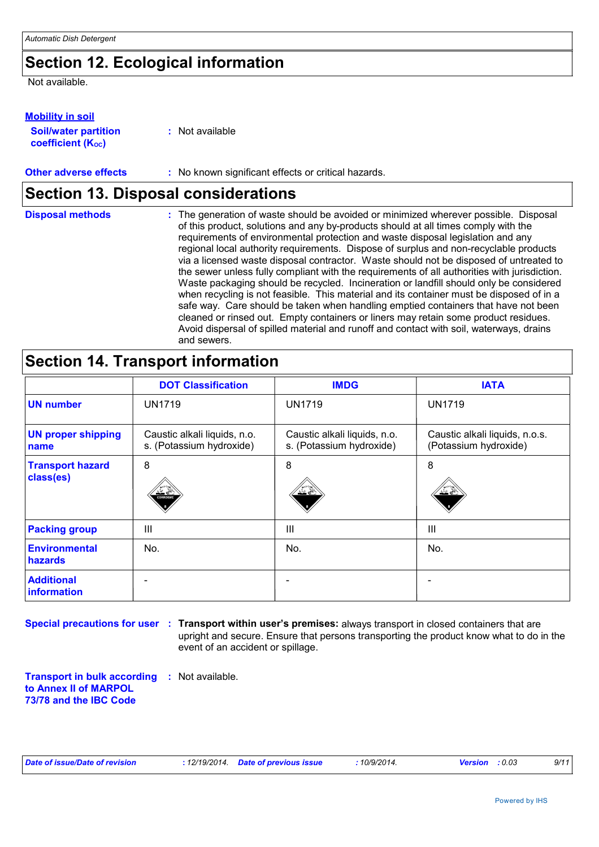### **Section 12. Ecological information**

Not available.

#### **Mobility in soil**

| <b>Soil/water partition</b> | : Not available |
|-----------------------------|-----------------|
| <b>coefficient (Koc)</b>    |                 |

**Other adverse effects** : No known significant effects or critical hazards.

### **Section 13. Disposal considerations**

| <b>Disposal methods</b> | : The generation of waste should be avoided or minimized wherever possible. Disposal<br>of this product, solutions and any by-products should at all times comply with the<br>requirements of environmental protection and waste disposal legislation and any<br>regional local authority requirements. Dispose of surplus and non-recyclable products<br>via a licensed waste disposal contractor. Waste should not be disposed of untreated to<br>the sewer unless fully compliant with the requirements of all authorities with jurisdiction.<br>Waste packaging should be recycled. Incineration or landfill should only be considered<br>when recycling is not feasible. This material and its container must be disposed of in a<br>safe way. Care should be taken when handling emptied containers that have not been<br>cleaned or rinsed out. Empty containers or liners may retain some product residues.<br>Avoid dispersal of spilled material and runoff and contact with soil, waterways, drains |
|-------------------------|----------------------------------------------------------------------------------------------------------------------------------------------------------------------------------------------------------------------------------------------------------------------------------------------------------------------------------------------------------------------------------------------------------------------------------------------------------------------------------------------------------------------------------------------------------------------------------------------------------------------------------------------------------------------------------------------------------------------------------------------------------------------------------------------------------------------------------------------------------------------------------------------------------------------------------------------------------------------------------------------------------------|
|                         | and sewers.                                                                                                                                                                                                                                                                                                                                                                                                                                                                                                                                                                                                                                                                                                                                                                                                                                                                                                                                                                                                    |

### **Section 14. Transport information**

|                                      | <b>DOT Classification</b>                                | <b>IMDG</b>                                              | <b>IATA</b>                                             |
|--------------------------------------|----------------------------------------------------------|----------------------------------------------------------|---------------------------------------------------------|
| <b>UN number</b>                     | <b>UN1719</b>                                            | <b>UN1719</b>                                            | <b>UN1719</b>                                           |
| <b>UN proper shipping</b><br>name    | Caustic alkali liquids, n.o.<br>s. (Potassium hydroxide) | Caustic alkali liquids, n.o.<br>s. (Potassium hydroxide) | Caustic alkali liquids, n.o.s.<br>(Potassium hydroxide) |
| <b>Transport hazard</b><br>class(es) | 8<br>CORROSIVE                                           | 8<br>کیلد                                                | 8<br>کیلئ                                               |
| <b>Packing group</b>                 | III                                                      | III                                                      | $\mathbf{III}$                                          |
| <b>Environmental</b><br>hazards      | No.                                                      | No.                                                      | No.                                                     |
| <b>Additional</b><br>information     |                                                          |                                                          |                                                         |

**Special precautions for user : Transport within user's premises: always transport in closed containers that are** upright and secure. Ensure that persons transporting the product know what to do in the event of an accident or spillage.

**Transport in bulk according :** Not available. **to Annex II of MARPOL 73/78 and the IBC Code**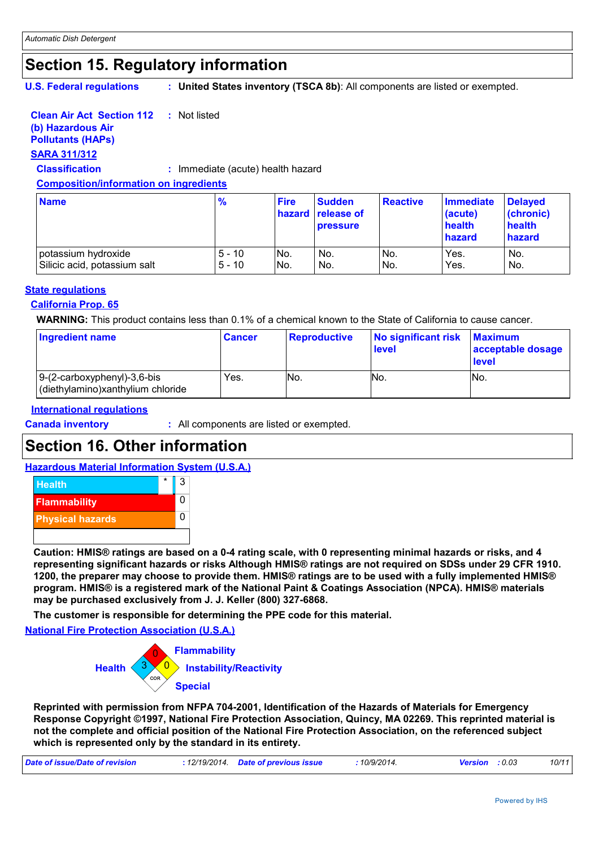### **Section 15. Regulatory information**

**U.S. Federal regulations**

**: United States inventory (TSCA 8b)**: All components are listed or exempted.

#### **Clean Air Act Section 112 :** Not listed

### **(b) Hazardous Air**

**Pollutants (HAPs)**

### **SARA 311/312**

**Classification :** Immediate (acute) health hazard

#### **Composition/information on ingredients**

| <b>Name</b>                  | %        | <b>Fire</b> | <b>Sudden</b><br><b>hazard release of</b><br><b>pressure</b> | <b>Reactive</b> | Immediate<br>(acute)<br>health<br>hazard | <b>Delayed</b><br>(chronic)<br>health<br>hazard |
|------------------------------|----------|-------------|--------------------------------------------------------------|-----------------|------------------------------------------|-------------------------------------------------|
| potassium hydroxide          | $5 - 10$ | No.         | No.                                                          | No.             | Yes.                                     | No.                                             |
| Silicic acid, potassium salt | $5 - 10$ | No.         | No.                                                          | No.             | Yes.                                     | No.                                             |

#### **State regulations**

#### **California Prop. 65**

**WARNING:** This product contains less than 0.1% of a chemical known to the State of California to cause cancer.

| <b>Ingredient name</b>                                              | <b>Cancer</b> | <b>Reproductive</b> | No significant risk<br>level | <b>Maximum</b><br>acceptable dosage<br>level |
|---------------------------------------------------------------------|---------------|---------------------|------------------------------|----------------------------------------------|
| $ 9-(2-carboxyphenyl)-3,6-bis$<br>(diethylamino)xanthylium chloride | Yes.          | No.                 | No.                          | INo.                                         |

#### **International regulations**

**Canada inventory :** All components are listed or exempted.

### **Section 16. Other information**

#### **Hazardous Material Information System (U.S.A.)**



**Caution: HMIS® ratings are based on a 0-4 rating scale, with 0 representing minimal hazards or risks, and 4 representing significant hazards or risks Although HMIS® ratings are not required on SDSs under 29 CFR 1910. 1200, the preparer may choose to provide them. HMIS® ratings are to be used with a fully implemented HMIS® program. HMIS® is a registered mark of the National Paint & Coatings Association (NPCA). HMIS® materials may be purchased exclusively from J. J. Keller (800) 327-6868.**

**The customer is responsible for determining the PPE code for this material.**

**National Fire Protection Association (U.S.A.)**



**Reprinted with permission from NFPA 704-2001, Identification of the Hazards of Materials for Emergency Response Copyright ©1997, National Fire Protection Association, Quincy, MA 02269. This reprinted material is not the complete and official position of the National Fire Protection Association, on the referenced subject which is represented only by the standard in its entirety.**

| Date of issue/Date of revision<br>.12/19/2014. | <b>Date of previous issue</b> | 10/9/2014 | Version<br>: 0.03 | 10/11 |
|------------------------------------------------|-------------------------------|-----------|-------------------|-------|
|------------------------------------------------|-------------------------------|-----------|-------------------|-------|